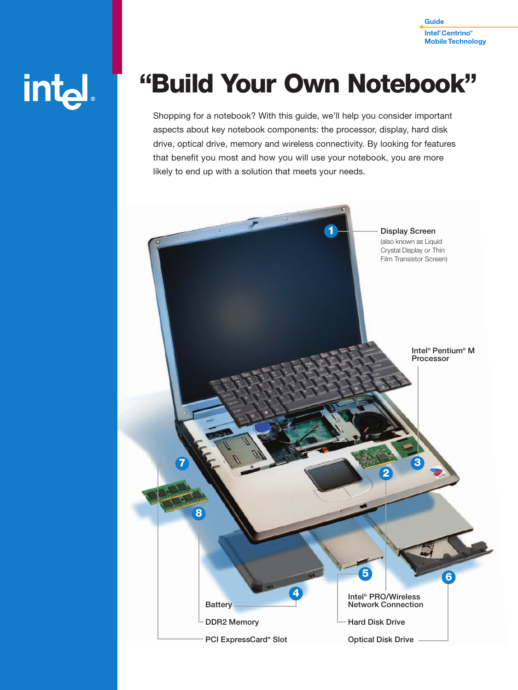

# int<sub>el</sub>

# **"Build Your Own Notebook"**

Shopping for a notebook? With this guide, we'll help you consider important aspects about key notebook components: the processor, display, hard disk drive, optical drive, memory and wireless connectivity. By looking for features that benefit you most and how you will use your notebook, you are more likely to end up with a solution that meets your needs.

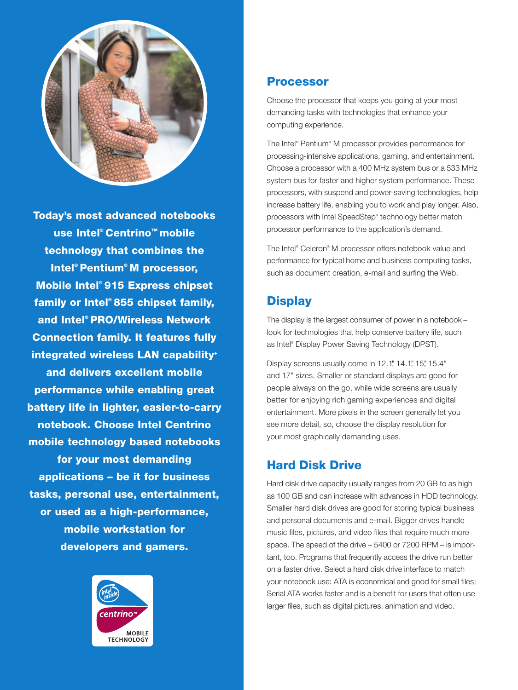

**Today's most advanced notebooks use Intel®Centrino™ mobile technology that combines the Intel® Pentium® M processor, Mobile Intel® 915 Express chipset family or Intel® 855 chipset family, and Intel® PRO/Wireless Network Connection family. It features fully integrated wireless LAN capability+ and delivers excellent mobile performance while enabling great battery life in lighter, easier-to-carry notebook. Choose Intel Centrino mobile technology based notebooks for your most demanding applications – be it for business tasks, personal use, entertainment, or used as a high-performance, mobile workstation for developers and gamers.**



#### **Processor**

Choose the processor that keeps you going at your most demanding tasks with technologies that enhance your computing experience.

The Intel® Pentium® M processor provides performance for processing-intensive applications, gaming, and entertainment. Choose a processor with a 400 MHz system bus or a 533 MHz system bus for faster and higher system performance. These processors, with suspend and power-saving technologies, help increase battery life, enabling you to work and play longer. Also, processors with Intel SpeedStep® technology better match processor performance to the application's demand.

The Intel® Celeron® M processor offers notebook value and performance for typical home and business computing tasks, such as document creation, e-mail and surfing the Web.

#### **Display**

The display is the largest consumer of power in a notebook – look for technologies that help conserve battery life, such as Intel® Display Power Saving Technology (DPST).

Display screens usually come in 12.1", 14.1", 15", 15.4" and 17" sizes. Smaller or standard displays are good for people always on the go, while wide screens are usually better for enjoying rich gaming experiences and digital entertainment. More pixels in the screen generally let you see more detail, so, choose the display resolution for your most graphically demanding uses.

#### **Hard Disk Drive**

Hard disk drive capacity usually ranges from 20 GB to as high as 100 GB and can increase with advances in HDD technology. Smaller hard disk drives are good for storing typical business and personal documents and e-mail. Bigger drives handle music files, pictures, and video files that require much more space. The speed of the drive – 5400 or 7200 RPM – is important, too. Programs that frequently access the drive run better on a faster drive. Select a hard disk drive interface to match your notebook use: ATA is economical and good for small files; Serial ATA works faster and is a benefit for users that often use larger files, such as digital pictures, animation and video.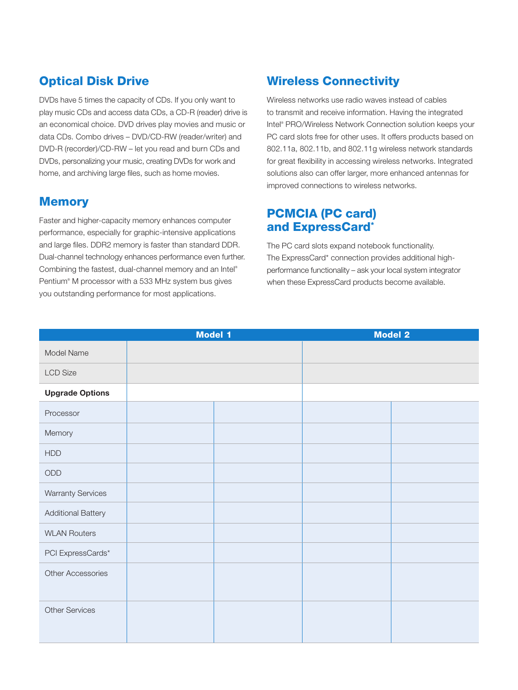### **Optical Disk Drive**

DVDs have 5 times the capacity of CDs. If you only want to play music CDs and access data CDs, a CD-R (reader) drive is an economical choice. DVD drives play movies and music or data CDs. Combo drives – DVD/CD-RW (reader/writer) and DVD-R (recorder)/CD-RW – let you read and burn CDs and DVDs, personalizing your music, creating DVDs for work and home, and archiving large files, such as home movies.

#### **Memory**

Faster and higher-capacity memory enhances computer performance, especially for graphic-intensive applications and large files. DDR2 memory is faster than standard DDR. Dual-channel technology enhances performance even further. Combining the fastest, dual-channel memory and an Intel® Pentium® M processor with a 533 MHz system bus gives you outstanding performance for most applications.

#### **Wireless Connectivity**

Wireless networks use radio waves instead of cables to transmit and receive information. Having the integrated Intel® PRO/Wireless Network Connection solution keeps your PC card slots free for other uses. It offers products based on 802.11a, 802.11b, and 802.11g wireless network standards for great flexibility in accessing wireless networks. Integrated solutions also can offer larger, more enhanced antennas for improved connections to wireless networks.

#### **PCMCIA (PC card) and ExpressCard\***

The PC card slots expand notebook functionality. The ExpressCard\* connection provides additional highperformance functionality – ask your local system integrator when these ExpressCard products become available.

|                           | <b>Model 1</b> |  | <b>Model 2</b> |
|---------------------------|----------------|--|----------------|
| Model Name                |                |  |                |
| <b>LCD Size</b>           |                |  |                |
| <b>Upgrade Options</b>    |                |  |                |
| Processor                 |                |  |                |
| Memory                    |                |  |                |
| HDD                       |                |  |                |
| $\mathsf{ODD}$            |                |  |                |
| <b>Warranty Services</b>  |                |  |                |
| <b>Additional Battery</b> |                |  |                |
| <b>WLAN Routers</b>       |                |  |                |
| PCI ExpressCards*         |                |  |                |
| Other Accessories         |                |  |                |
| <b>Other Services</b>     |                |  |                |